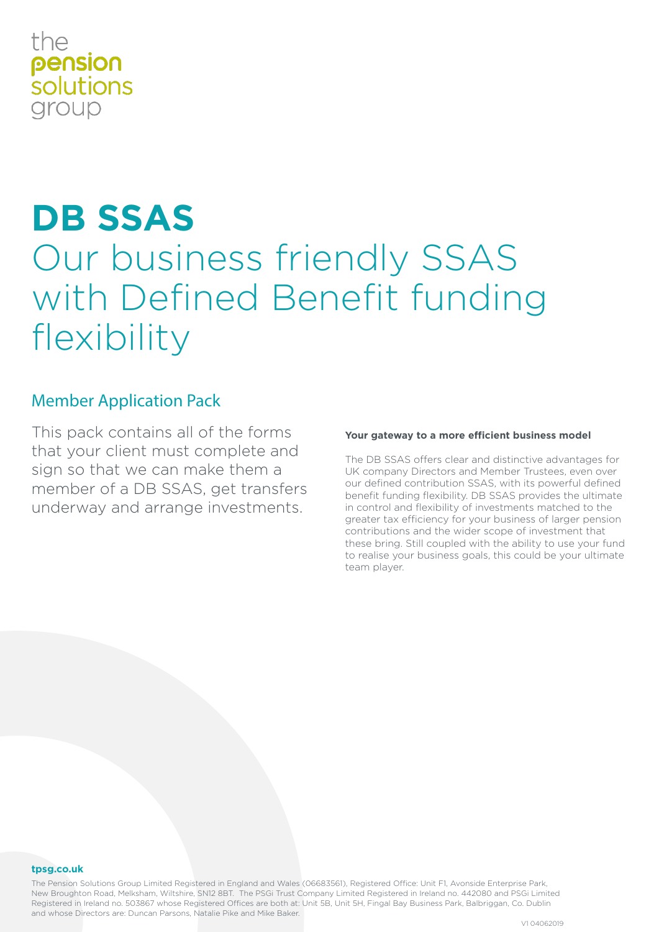# the pension *solutions* group

# **DB SSAS** Our business friendly SSAS with Defined Benefit funding flexibility

# Member Application Pack

This pack contains all of the forms that your client must complete and sign so that we can make them a member of a DB SSAS, get transfers underway and arrange investments.

# **Your gateway to a more efficient business model**

The DB SSAS offers clear and distinctive advantages for UK company Directors and Member Trustees, even over our defined contribution SSAS, with its powerful defined benefit funding flexibility. DB SSAS provides the ultimate in control and flexibility of investments matched to the greater tax efficiency for your business of larger pension contributions and the wider scope of investment that these bring. Still coupled with the ability to use your fund to realise your business goals, this could be your ultimate team player.

#### **tpsg.co.uk**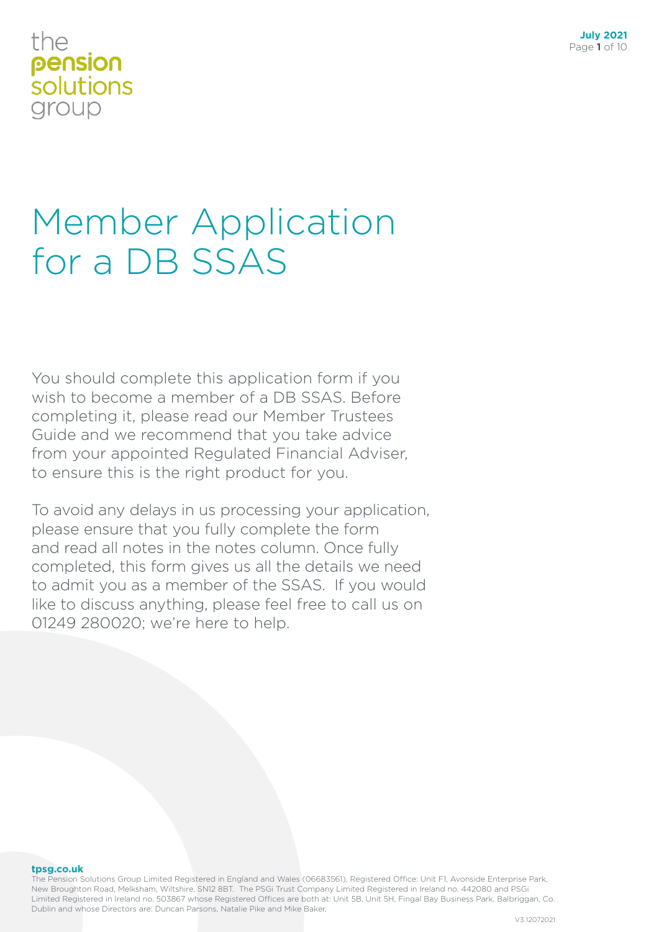# the pension solutions group

# Member Application for a DB SSAS

You should complete this application form if you wish to become a member of a DB SSAS. Before completing it, please read our Member Trustees Guide and we recommend that you take advice from your appointed Regulated Financial Adviser, to ensure this is the right product for you.

To avoid any delays in us processing your application, please ensure that you fully complete the form and read all notes in the notes column. Once fully completed, this form gives us all the details we need to admit you as a member of the SSAS. If you would like to discuss anything, please feel free to call us on 01249 280020; we're here to help.

**tpsg.co.uk**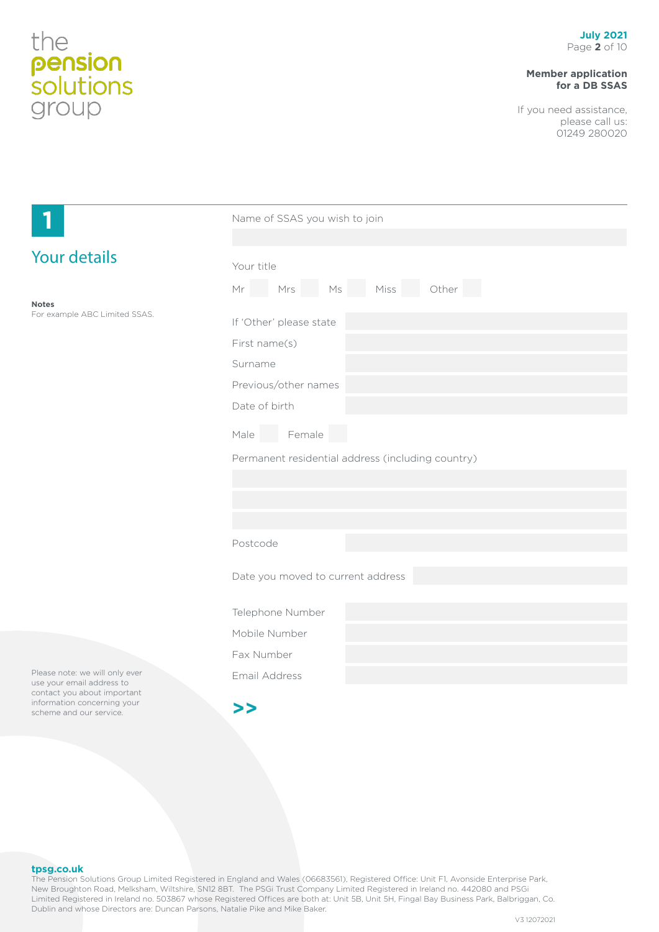# **Member application for a DB SSAS**

If you need assistance, please call us: 01249 280020

| ۳                                                                                          | Name of SSAS you wish to join                     |  |  |  |  |
|--------------------------------------------------------------------------------------------|---------------------------------------------------|--|--|--|--|
|                                                                                            |                                                   |  |  |  |  |
| <b>Your details</b>                                                                        | Your title<br>Mr Mrs Ms Miss Other                |  |  |  |  |
| <b>Notes</b><br>For example ABC Limited SSAS.                                              | If 'Other' please state                           |  |  |  |  |
|                                                                                            | First name(s)<br>Surname                          |  |  |  |  |
|                                                                                            | Previous/other names<br>Date of birth             |  |  |  |  |
|                                                                                            | Female<br>Male                                    |  |  |  |  |
|                                                                                            | Permanent residential address (including country) |  |  |  |  |
|                                                                                            |                                                   |  |  |  |  |
|                                                                                            |                                                   |  |  |  |  |
|                                                                                            | Postcode                                          |  |  |  |  |
|                                                                                            | Date you moved to current address                 |  |  |  |  |
|                                                                                            | Telephone Number                                  |  |  |  |  |
|                                                                                            | Mobile Number                                     |  |  |  |  |
|                                                                                            | Fax Number                                        |  |  |  |  |
| Please note: we will only ever<br>use your email address to<br>contact you about important | Email Address                                     |  |  |  |  |
| information concerning your<br>scheme and our service.                                     | >>                                                |  |  |  |  |

#### **tpsg.co.uk**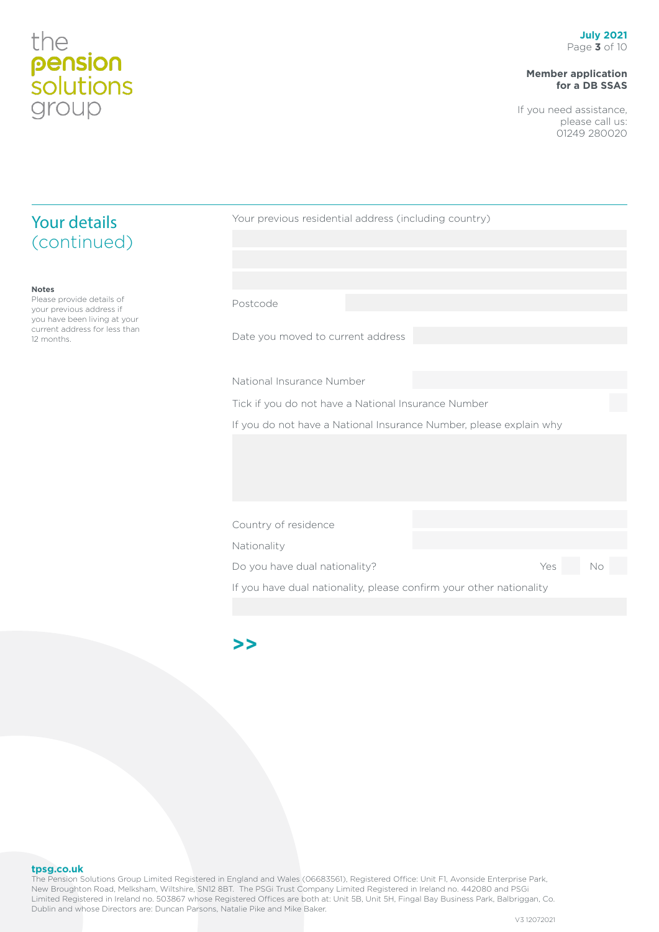## **Member application for a DB SSAS**

If you need assistance, please call us: 01249 280020

| <b>Your details</b>                                                         | Your previous residential address (including country) |                                                                     |     |    |  |
|-----------------------------------------------------------------------------|-------------------------------------------------------|---------------------------------------------------------------------|-----|----|--|
| (continued)                                                                 |                                                       |                                                                     |     |    |  |
|                                                                             |                                                       |                                                                     |     |    |  |
| <b>Notes</b>                                                                |                                                       |                                                                     |     |    |  |
| Please provide details of<br>your previous address if                       | Postcode                                              |                                                                     |     |    |  |
| you have been living at your<br>current address for less than<br>12 months. | Date you moved to current address                     |                                                                     |     |    |  |
|                                                                             |                                                       |                                                                     |     |    |  |
|                                                                             | National Insurance Number                             |                                                                     |     |    |  |
|                                                                             |                                                       | Tick if you do not have a National Insurance Number                 |     |    |  |
|                                                                             |                                                       | If you do not have a National Insurance Number, please explain why  |     |    |  |
|                                                                             |                                                       |                                                                     |     |    |  |
|                                                                             |                                                       |                                                                     |     |    |  |
|                                                                             |                                                       |                                                                     |     |    |  |
|                                                                             |                                                       |                                                                     |     |    |  |
|                                                                             | Country of residence                                  |                                                                     |     |    |  |
|                                                                             | Nationality                                           |                                                                     |     |    |  |
|                                                                             | Do you have dual nationality?                         |                                                                     | Yes | No |  |
|                                                                             |                                                       | If you have dual nationality, please confirm your other nationality |     |    |  |

# **>>**

#### **tpsg.co.uk**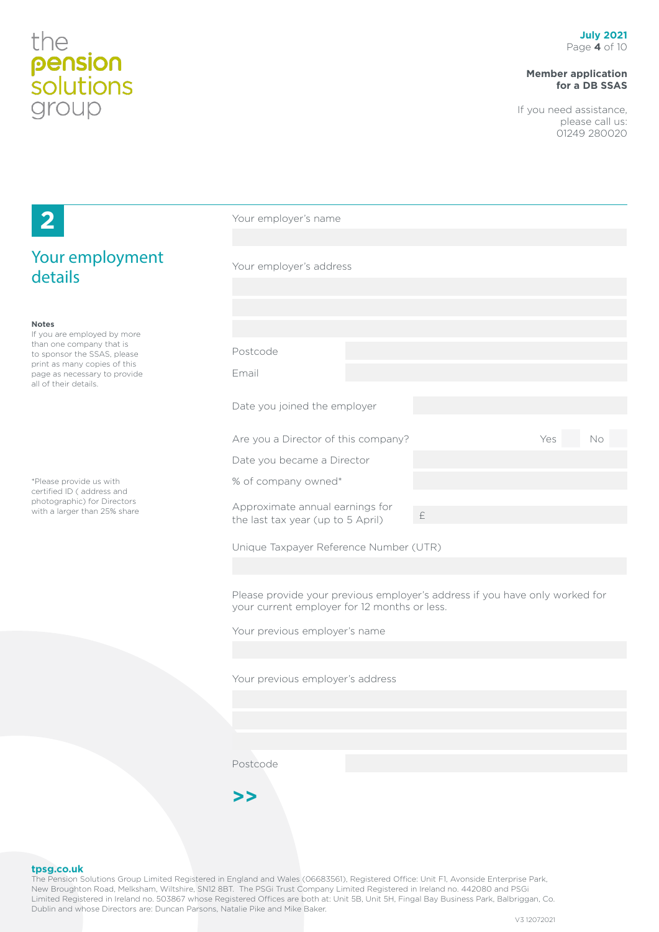# **Member application for a DB SSAS**

If you need assistance, please call us: 01249 280020

| $\mathbf{2}$                                                                          | Your employer's name                                                 |                                                                             |     |    |
|---------------------------------------------------------------------------------------|----------------------------------------------------------------------|-----------------------------------------------------------------------------|-----|----|
| Your employment<br>details                                                            | Your employer's address                                              |                                                                             |     |    |
|                                                                                       |                                                                      |                                                                             |     |    |
| <b>Notes</b><br>If you are employed by more                                           |                                                                      |                                                                             |     |    |
| than one company that is<br>to sponsor the SSAS, please                               | Postcode                                                             |                                                                             |     |    |
| print as many copies of this<br>page as necessary to provide<br>all of their details. | Email                                                                |                                                                             |     |    |
|                                                                                       | Date you joined the employer                                         |                                                                             |     |    |
|                                                                                       | Are you a Director of this company?                                  |                                                                             | Yes | No |
|                                                                                       | Date you became a Director                                           |                                                                             |     |    |
| *Please provide us with<br>certified ID (address and                                  | % of company owned*                                                  |                                                                             |     |    |
| photographic) for Directors<br>with a larger than 25% share                           | Approximate annual earnings for<br>the last tax year (up to 5 April) | $\pm$                                                                       |     |    |
|                                                                                       | Unique Taxpayer Reference Number (UTR)                               |                                                                             |     |    |
|                                                                                       |                                                                      |                                                                             |     |    |
|                                                                                       | your current employer for 12 months or less.                         | Please provide your previous employer's address if you have only worked for |     |    |
|                                                                                       | Your previous employer's name                                        |                                                                             |     |    |
|                                                                                       |                                                                      |                                                                             |     |    |
|                                                                                       | Your previous employer's address                                     |                                                                             |     |    |

Postcode



#### **tpsg.co.uk**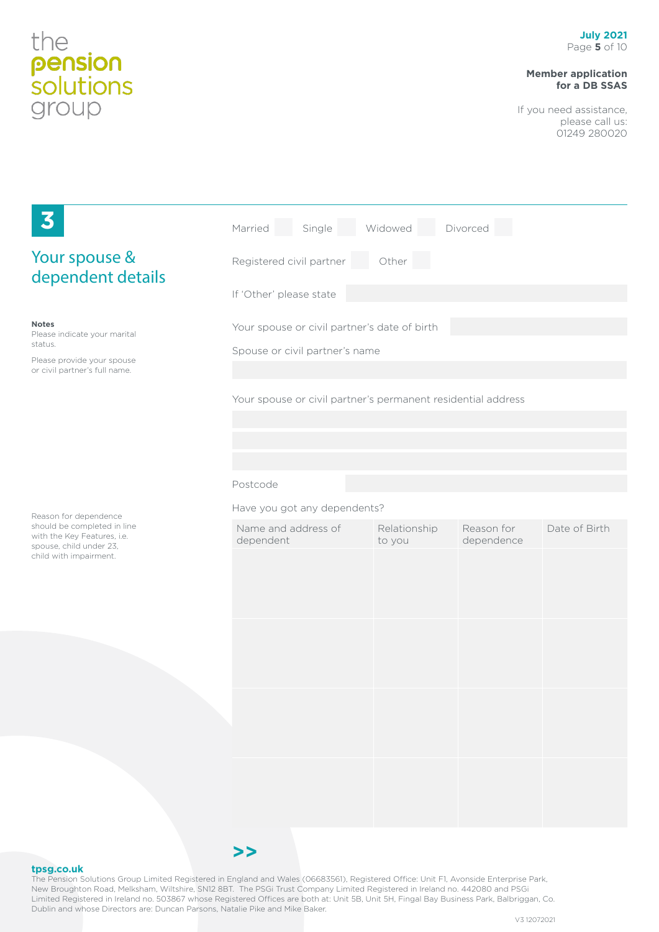## **Member application for a DB SSAS**

If you need assistance, please call us: 01249 280020

| 3                                                                                                                      | Single<br>Married                                                              | Widowed                | Divorced                 |               |  |  |
|------------------------------------------------------------------------------------------------------------------------|--------------------------------------------------------------------------------|------------------------|--------------------------|---------------|--|--|
| Your spouse &<br>dependent details                                                                                     | Registered civil partner<br>Other                                              |                        |                          |               |  |  |
|                                                                                                                        | If 'Other' please state                                                        |                        |                          |               |  |  |
| <b>Notes</b><br>Please indicate your marital<br>status.<br>Please provide your spouse<br>or civil partner's full name. | Your spouse or civil partner's date of birth<br>Spouse or civil partner's name |                        |                          |               |  |  |
|                                                                                                                        | Your spouse or civil partner's permanent residential address                   |                        |                          |               |  |  |
|                                                                                                                        | Postcode                                                                       |                        |                          |               |  |  |
| Reason for dependence                                                                                                  | Have you got any dependents?                                                   |                        |                          |               |  |  |
| should be completed in line<br>with the Key Features, i.e.<br>spouse, child under 23,                                  | Name and address of<br>dependent                                               | Relationship<br>to you | Reason for<br>dependence | Date of Birth |  |  |
| child with impairment.                                                                                                 |                                                                                |                        |                          |               |  |  |
|                                                                                                                        |                                                                                |                        |                          |               |  |  |
|                                                                                                                        |                                                                                |                        |                          |               |  |  |
|                                                                                                                        |                                                                                |                        |                          |               |  |  |

#### **tpsg.co.uk**



**>>**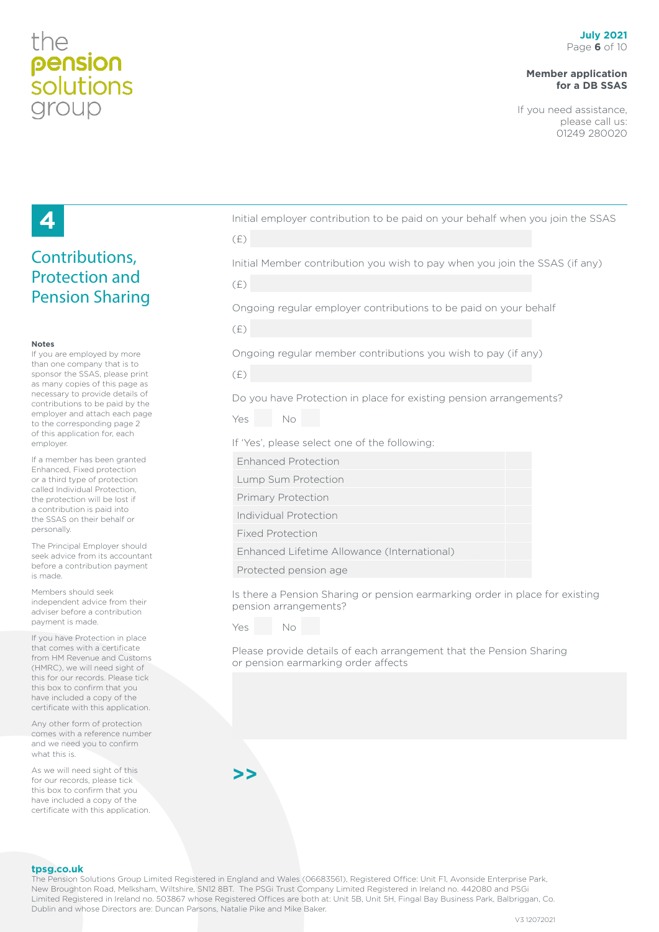# the pension *solutions* group

# **Member application for a DB SSAS**

If you need assistance, please call us: 01249 280020

# **4**

# Contributions, Protection and Pension Sharing

#### **Notes**

If you are employed by more than one company that is to sponsor the SSAS, please print as many copies of this page as necessary to provide details of contributions to be paid by the employer and attach each page to the corresponding page 2 of this application for, each employer.

If a member has been granted Enhanced, Fixed protection or a third type of protection called Individual Protection, the protection will be lost if a contribution is paid into the SSAS on their behalf or personally.

The Principal Employer should seek advice from its accountant before a contribution payment is made.

Members should seek independent advice from their adviser before a contribution payment is made.

If you have Protection in place that comes with a certificate from HM Revenue and Customs (HMRC), we will need sight of this for our records. Please tick this box to confirm that you have included a copy of the certificate with this application.

Any other form of protection comes with a reference number and we need you to confirm what this is.

As we will need sight of this for our records, please tick this box to confirm that you have included a copy of the certificate with this application.

|                      | Initial employer contribution to be paid on your behalf when you join the SSAS |  |  |  |  |
|----------------------|--------------------------------------------------------------------------------|--|--|--|--|
| $\sim$ $\sim$ $\sim$ |                                                                                |  |  |  |  |

| × | v. | I<br>۰, |  |
|---|----|---------|--|
|   |    |         |  |

Initial Member contribution you wish to pay when you join the SSAS (if any)

| ۰   |  |
|-----|--|
| . . |  |
|     |  |
|     |  |

Ongoing regular employer contributions to be paid on your behalf

| I | ۰<br>a sa |                    |
|---|-----------|--------------------|
| × |           | ۰,<br>I<br>I<br>۰, |

Ongoing regular member contributions you wish to pay (if any)

(£)

Do you have Protection in place for existing pension arrangements?

| Yes | No |
|-----|----|
|     |    |

If 'Yes', please select one of the following:

Enhanced Protection

Lump Sum Protection

- Primary Protection
- Individual Protection
- Fixed Protection

Enhanced Lifetime Allowance (International)

Protected pension age

Is there a Pension Sharing or pension earmarking order in place for existing pension arrangements?

Yes No

Please provide details of each arrangement that the Pension Sharing or pension earmarking order affects



#### **tpsg.co.uk**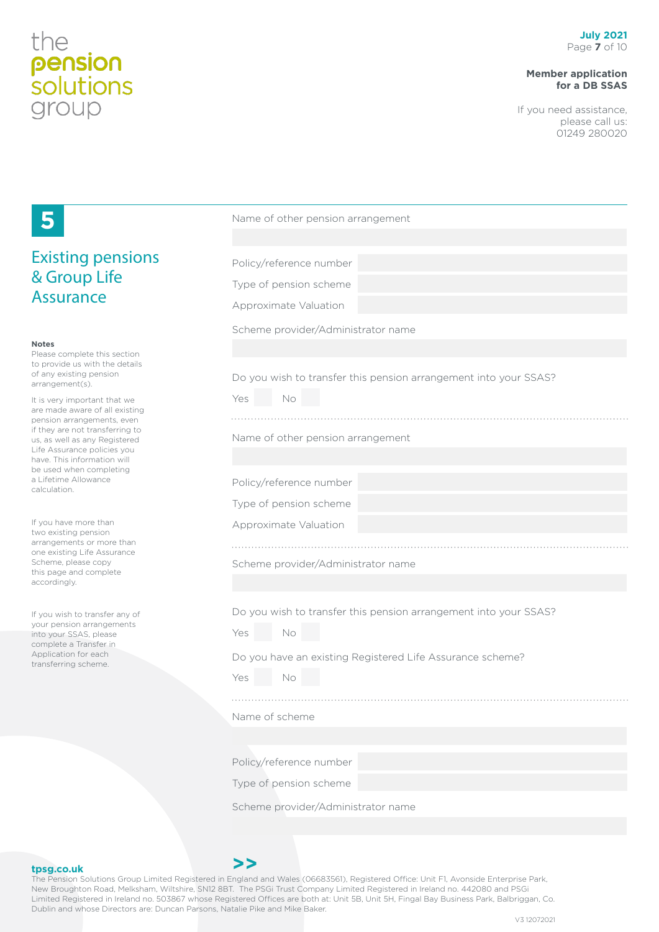# **Member application for a DB SSAS**

If you need assistance, please call us: 01249 280020

|                                                                | Name of other pension arrangement                                |
|----------------------------------------------------------------|------------------------------------------------------------------|
| <b>Existing pensions</b>                                       | Policy/reference number                                          |
| & Group Life<br><b>Assurance</b>                               |                                                                  |
|                                                                | Type of pension scheme                                           |
|                                                                | Approximate Valuation                                            |
|                                                                | Scheme provider/Administrator name                               |
| <b>Notes</b><br>Please complete this section                   |                                                                  |
| to provide us with the details<br>of any existing pension      | Do you wish to transfer this pension arrangement into your SSAS? |
| arrangement(s).                                                | Yes<br>No                                                        |
| It is very important that we<br>are made aware of all existing |                                                                  |
| pension arrangements, even<br>if they are not transferring to  |                                                                  |
| us, as well as any Registered<br>Life Assurance policies you   | Name of other pension arrangement                                |
| have. This information will<br>be used when completing         |                                                                  |
| a Lifetime Allowance<br>calculation.                           | Policy/reference number                                          |
|                                                                | Type of pension scheme                                           |
| If you have more than<br>two existing pension                  | Approximate Valuation                                            |
| arrangements or more than<br>one existing Life Assurance       |                                                                  |
| Scheme, please copy<br>this page and complete                  | Scheme provider/Administrator name                               |
| accordingly.                                                   |                                                                  |
| If you wish to transfer any of                                 | Do you wish to transfer this pension arrangement into your SSAS? |
| your pension arrangements<br>into your SSAS, please            | No<br>Yes                                                        |
| complete a Transfer in<br>Application for each                 |                                                                  |
| transferring scheme.                                           | Do you have an existing Registered Life Assurance scheme?        |
|                                                                | Yes<br>No                                                        |
|                                                                |                                                                  |
|                                                                | Name of scheme                                                   |
|                                                                |                                                                  |
|                                                                | Policy/reference number                                          |
|                                                                | Type of pension scheme                                           |
|                                                                | Scheme provider/Administrator name                               |
|                                                                |                                                                  |

### **tpsg.co.uk**

The Pension Solutions Group Limited Registered in England and Wales (06683561), Registered Office: Unit F1, Avonside Enterprise Park, New Broughton Road, Melksham, Wiltshire, SN12 8BT. The PSGi Trust Company Limited Registered in Ireland no. 442080 and PSGi Limited Registered in Ireland no. 503867 whose Registered Offices are both at: Unit 5B, Unit 5H, Fingal Bay Business Park, Balbriggan, Co. Dublin and whose Directors are: Duncan Parsons, Natalie Pike and Mike Baker.

**>>**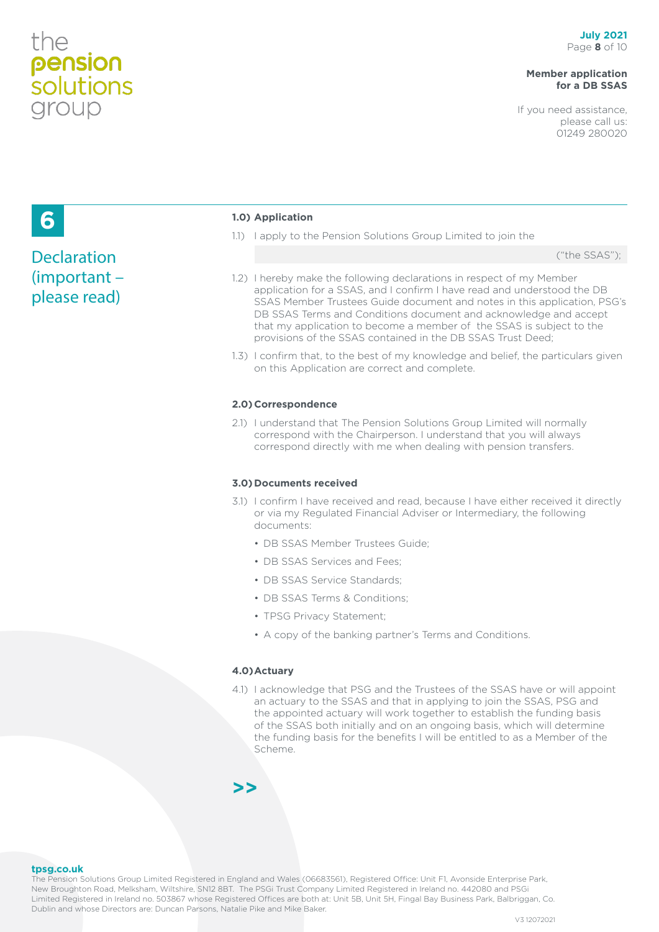# the pension<br>solutions group

# **Member application for a DB SSAS**

If you need assistance, please call us: 01249 280020

# **6**

# **Declaration** (important – please read)

### **1.0) Application**

1.1) I apply to the Pension Solutions Group Limited to join the

("the SSAS");

- 1.2) I hereby make the following declarations in respect of my Member application for a SSAS, and I confirm I have read and understood the DB SSAS Member Trustees Guide document and notes in this application, PSG's DB SSAS Terms and Conditions document and acknowledge and accept that my application to become a member of the SSAS is subject to the provisions of the SSAS contained in the DB SSAS Trust Deed;
- 1.3) I confirm that, to the best of my knowledge and belief, the particulars given on this Application are correct and complete.

### **2.0)Correspondence**

2.1) I understand that The Pension Solutions Group Limited will normally correspond with the Chairperson. I understand that you will always correspond directly with me when dealing with pension transfers.

### **3.0)Documents received**

- 3.1) I confirm I have received and read, because I have either received it directly or via my Regulated Financial Adviser or Intermediary, the following documents:
	- DB SSAS Member Trustees Guide;
	- DB SSAS Services and Fees;
	- DB SSAS Service Standards:
	- DB SSAS Terms & Conditions:
	- TPSG Privacy Statement;
	- A copy of the banking partner's Terms and Conditions.

### **4.0)Actuary**

4.1) I acknowledge that PSG and the Trustees of the SSAS have or will appoint an actuary to the SSAS and that in applying to join the SSAS, PSG and the appointed actuary will work together to establish the funding basis of the SSAS both initially and on an ongoing basis, which will determine the funding basis for the benefits I will be entitled to as a Member of the Scheme.

**>>**

**tpsg.co.uk**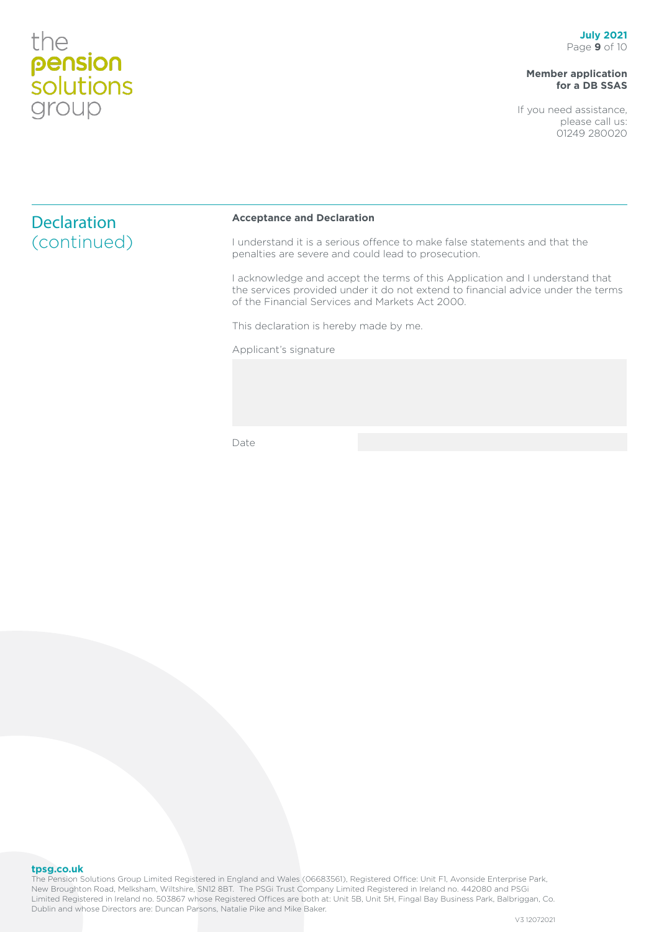# **Member application for a DB SSAS**

If you need assistance, please call us: 01249 280020

| <b>Declaration</b> | <b>Acceptance and Declaration</b>                                                                                                                                                                                 |
|--------------------|-------------------------------------------------------------------------------------------------------------------------------------------------------------------------------------------------------------------|
| (continued)        | understand it is a serious offence to make false statements and that the<br>penalties are severe and could lead to prosecution.                                                                                   |
|                    | acknowledge and accept the terms of this Application and I understand that<br>the services provided under it do not extend to financial advice under the terms<br>of the Financial Services and Markets Act 2000. |

This declaration is hereby made by me.

Applicant's signature

Date

### **tpsg.co.uk**